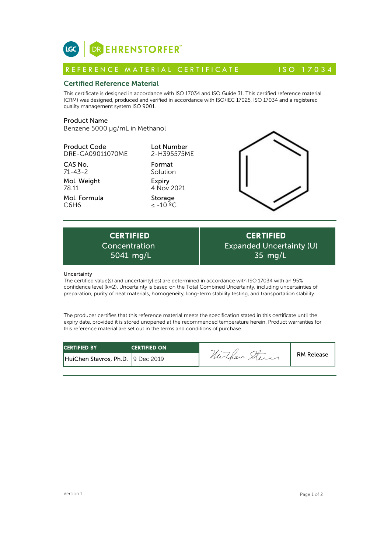

# Certified Reference Material

This certificate is designed in accordance with ISO 17034 and ISO Guide 31. This certified reference material (CRM) was designed, produced and verified in accordance with ISO/IEC 17025, ISO 17034 and a registered quality management system ISO 9001. **ICC**<br> **REFERENCE MATERIAL CERTIFICATE** ISO 17034<br> **Certified Reference Material**<br>
This certificate is designed in accordance with ISO 17034 and ISO Guide 31. This certified reference material<br>
CRM) was designed, produced

## Product Name

Benzene 5000 µg/mL in Methanol

## Product Code DRE-GA09011070ME

CAS No. 71-43-2

Mol. Weight

Mol. Formula 78.11 C6H6

Lot Number 2-H395575ME

Format Solution Expiry 4 Nov 2021

Storage  $\leq$  -10  $^{\circ}$ °C



Expiry<br>
4 Nov 2021<br>
Storage<br>  $\leq -10^{-9}C$ <br>
CERTIFIED<br>
Dincentration<br>
5041 mg/L<br>
Chaduncertainty(iec) are determined in accordance Concentration

**CERTIFIED** Expanded Uncertainty (U) 35 mg/L

### Uncertainty

The certified value(s) and uncertainty(ies) are determined in accordance with ISO 17034 with an 95% confidence level (k=2). Uncertainty is based on the Total Combined Uncertainty, including uncertainties of preparation, purity of neat materials, homogeneity, long-term stability testing, and transportation stability.

The producer certifies that this reference material meets the specification stated in this certificate until the expiry date, provided it is stored unopened at the recommended temperature herein. Product warranties for this reference material are set out in the terms and conditions of purchase.

| <b>CERTIFIED BY</b>               | <b>CERTIFIED ON</b> |          |                   |
|-----------------------------------|---------------------|----------|-------------------|
| HuiChen Stavros, Ph.D. 9 Dec 2019 |                     | Murchen, | <b>RM Release</b> |